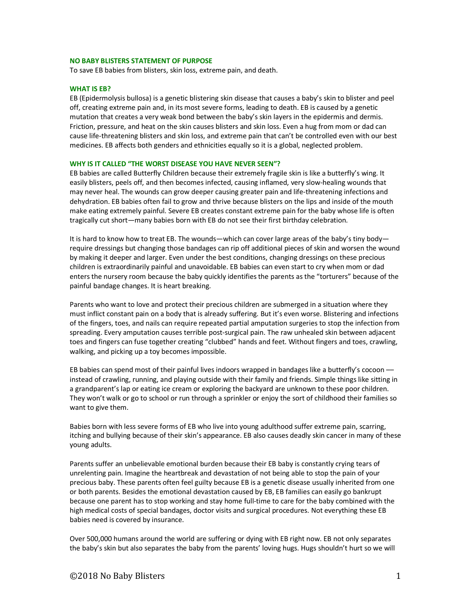#### **NO BABY BLISTERS STATEMENT OF PURPOSE**

To save EB babies from blisters, skin loss, extreme pain, and death.

### **WHAT IS EB?**

EB (Epidermolysis bullosa) is a genetic blistering skin disease that causes a baby's skin to blister and peel off, creating extreme pain and, in its most severe forms, leading to death. EB is caused by a genetic mutation that creates a very weak bond between the baby's skin layers in the epidermis and dermis. Friction, pressure, and heat on the skin causes blisters and skin loss. Even a hug from mom or dad can cause life-threatening blisters and skin loss, and extreme pain that can't be controlled even with our best medicines. EB affects both genders and ethnicities equally so it is a global, neglected problem.

#### **WHY IS IT CALLED "THE WORST DISEASE YOU HAVE NEVER SEEN"?**

EB babies are called Butterfly Children because their extremely fragile skin is like a butterfly's wing. It easily blisters, peels off, and then becomes infected, causing inflamed, very slow-healing wounds that may never heal. The wounds can grow deeper causing greater pain and life-threatening infections and dehydration. EB babies often fail to grow and thrive because blisters on the lips and inside of the mouth make eating extremely painful. Severe EB creates constant extreme pain for the baby whose life is often tragically cut short—many babies born with EB do not see their first birthday celebration.

It is hard to know how to treat EB. The wounds—which can cover large areas of the baby's tiny body require dressings but changing those bandages can rip off additional pieces of skin and worsen the wound by making it deeper and larger. Even under the best conditions, changing dressings on these precious children is extraordinarily painful and unavoidable. EB babies can even start to cry when mom or dad enters the nursery room because the baby quickly identifies the parents as the "torturers" because of the painful bandage changes. It is heart breaking.

Parents who want to love and protect their precious children are submerged in a situation where they must inflict constant pain on a body that is already suffering. But it's even worse. Blistering and infections of the fingers, toes, and nails can require repeated partial amputation surgeries to stop the infection from spreading. Every amputation causes terrible post-surgical pain. The raw unhealed skin between adjacent toes and fingers can fuse together creating "clubbed" hands and feet. Without fingers and toes, crawling, walking, and picking up a toy becomes impossible.

EB babies can spend most of their painful lives indoors wrapped in bandages like a butterfly's cocoon instead of crawling, running, and playing outside with their family and friends. Simple things like sitting in a grandparent's lap or eating ice cream or exploring the backyard are unknown to these poor children. They won't walk or go to school or run through a sprinkler or enjoy the sort of childhood their families so want to give them.

Babies born with less severe forms of EB who live into young adulthood suffer extreme pain, scarring, itching and bullying because of their skin's appearance. EB also causes deadly skin cancer in many of these young adults.

Parents suffer an unbelievable emotional burden because their EB baby is constantly crying tears of unrelenting pain. Imagine the heartbreak and devastation of not being able to stop the pain of your precious baby. These parents often feel guilty because EB is a genetic disease usually inherited from one or both parents. Besides the emotional devastation caused by EB, EB families can easily go bankrupt because one parent has to stop working and stay home full-time to care for the baby combined with the high medical costs of special bandages, doctor visits and surgical procedures. Not everything these EB babies need is covered by insurance.

Over 500,000 humans around the world are suffering or dying with EB right now. EB not only separates the baby's skin but also separates the baby from the parents' loving hugs. Hugs shouldn't hurt so we will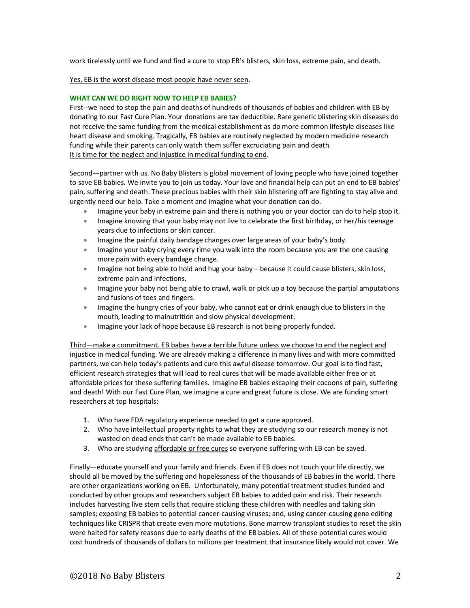work tirelessly until we fund and find a cure to stop EB's blisters, skin loss, extreme pain, and death.

### Yes, EB is the worst disease most people have never seen.

## **WHAT CAN WE DO RIGHT NOW TO HELP EB BABIES?**

First--we need to stop the pain and deaths of hundreds of thousands of babies and children with EB by donating to our Fast Cure Plan. Your donations are tax deductible. Rare genetic blistering skin diseases do not receive the same funding from the medical establishment as do more common lifestyle diseases like heart disease and smoking. Tragically, EB babies are routinely neglected by modern medicine research funding while their parents can only watch them suffer excruciating pain and death. It is time for the neglect and injustice in medical funding to end.

Second—partner with us. No Baby Blisters is global movement of loving people who have joined together to save EB babies. We invite you to join us today. Your love and financial help can put an end to EB babies' pain, suffering and death. These precious babies with their skin blistering off are fighting to stay alive and urgently need our help. Take a moment and imagine what your donation can do.

- Imagine your baby in extreme pain and there is nothing you or your doctor can do to help stop it.
- Imagine knowing that your baby may not live to celebrate the first birthday, or her/his teenage years due to infections or skin cancer.
- Imagine the painful daily bandage changes over large areas of your baby's body.
- Imagine your baby crying every time you walk into the room because you are the one causing more pain with every bandage change.
- Imagine not being able to hold and hug your baby because it could cause blisters, skin loss, extreme pain and infections.
- Imagine your baby not being able to crawl, walk or pick up a toy because the partial amputations and fusions of toes and fingers.
- Imagine the hungry cries of your baby, who cannot eat or drink enough due to blisters in the mouth, leading to malnutrition and slow physical development.
- Imagine your lack of hope because EB research is not being properly funded.

Third—make a commitment. EB babes have a terrible future unless we choose to end the neglect and injustice in medical funding. We are already making a difference in many lives and with more committed partners, we can help today's patients and cure this awful disease tomorrow. Our goal is to find fast, efficient research strategies that will lead to real cures that will be made available either free or at affordable prices for these suffering families. Imagine EB babies escaping their cocoons of pain, suffering and death! With our Fast Cure Plan, we imagine a cure and great future is close. We are funding smart researchers at top hospitals:

- 1. Who have FDA regulatory experience needed to get a cure approved.
- 2. Who have intellectual property rights to what they are studying so our research money is not wasted on dead ends that can't be made available to EB babies.
- 3. Who are studying affordable or free cures so everyone suffering with EB can be saved.

Finally—educate yourself and your family and friends. Even if EB does not touch your life directly, we should all be moved by the suffering and hopelessness of the thousands of EB babies in the world. There are other organizations working on EB. Unfortunately, many potential treatment studies funded and conducted by other groups and researchers subject EB babies to added pain and risk. Their research includes harvesting live stem cells that require sticking these children with needles and taking skin samples; exposing EB babies to potential cancer-causing viruses; and, using cancer-causing gene editing techniques like CRISPR that create even more mutations. Bone marrow transplant studies to reset the skin were halted for safety reasons due to early deaths of the EB babies. All of these potential cures would cost hundreds of thousands of dollars to millions per treatment that insurance likely would not cover. We